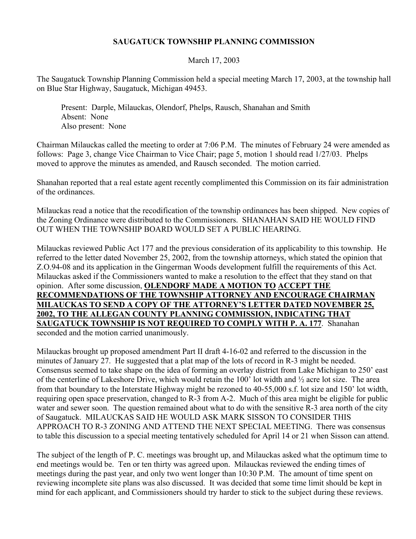## **SAUGATUCK TOWNSHIP PLANNING COMMISSION**

## March 17, 2003

The Saugatuck Township Planning Commission held a special meeting March 17, 2003, at the township hall on Blue Star Highway, Saugatuck, Michigan 49453.

 Present: Darple, Milauckas, Olendorf, Phelps, Rausch, Shanahan and Smith Absent: None Also present: None

Chairman Milauckas called the meeting to order at 7:06 P.M. The minutes of February 24 were amended as follows: Page 3, change Vice Chairman to Vice Chair; page 5, motion 1 should read 1/27/03. Phelps moved to approve the minutes as amended, and Rausch seconded. The motion carried.

Shanahan reported that a real estate agent recently complimented this Commission on its fair administration of the ordinances.

Milauckas read a notice that the recodification of the township ordinances has been shipped. New copies of the Zoning Ordinance were distributed to the Commissioners. SHANAHAN SAID HE WOULD FIND OUT WHEN THE TOWNSHIP BOARD WOULD SET A PUBLIC HEARING.

Milauckas reviewed Public Act 177 and the previous consideration of its applicability to this township. He referred to the letter dated November 25, 2002, from the township attorneys, which stated the opinion that Z.O.94-08 and its application in the Gingerman Woods development fulfill the requirements of this Act. Milauckas asked if the Commissioners wanted to make a resolution to the effect that they stand on that opinion. After some discussion, **OLENDORF MADE A MOTION TO ACCEPT THE RECOMMENDATIONS OF THE TOWNSHIP ATTORNEY AND ENCOURAGE CHAIRMAN MILAUCKAS TO SEND A COPY OF THE ATTORNEY'S LETTER DATED NOVEMBER 25, 2002, TO THE ALLEGAN COUNTY PLANNING COMMISSION, INDICATING THAT SAUGATUCK TOWNSHIP IS NOT REQUIRED TO COMPLY WITH P. A. 177**. Shanahan seconded and the motion carried unanimously.

Milauckas brought up proposed amendment Part II draft 4-16-02 and referred to the discussion in the minutes of January 27. He suggested that a plat map of the lots of record in R-3 might be needed. Consensus seemed to take shape on the idea of forming an overlay district from Lake Michigan to 250' east of the centerline of Lakeshore Drive, which would retain the 100' lot width and ½ acre lot size. The area from that boundary to the Interstate Highway might be rezoned to 40-55,000 s.f. lot size and 150' lot width, requiring open space preservation, changed to R-3 from A-2. Much of this area might be eligible for public water and sewer soon. The question remained about what to do with the sensitive R-3 area north of the city of Saugatuck. MILAUCKAS SAID HE WOULD ASK MARK SISSON TO CONSIDER THIS APPROACH TO R-3 ZONING AND ATTEND THE NEXT SPECIAL MEETING. There was consensus to table this discussion to a special meeting tentatively scheduled for April 14 or 21 when Sisson can attend.

The subject of the length of P. C. meetings was brought up, and Milauckas asked what the optimum time to end meetings would be. Ten or ten thirty was agreed upon. Milauckas reviewed the ending times of meetings during the past year, and only two went longer than 10:30 P.M. The amount of time spent on reviewing incomplete site plans was also discussed. It was decided that some time limit should be kept in mind for each applicant, and Commissioners should try harder to stick to the subject during these reviews.